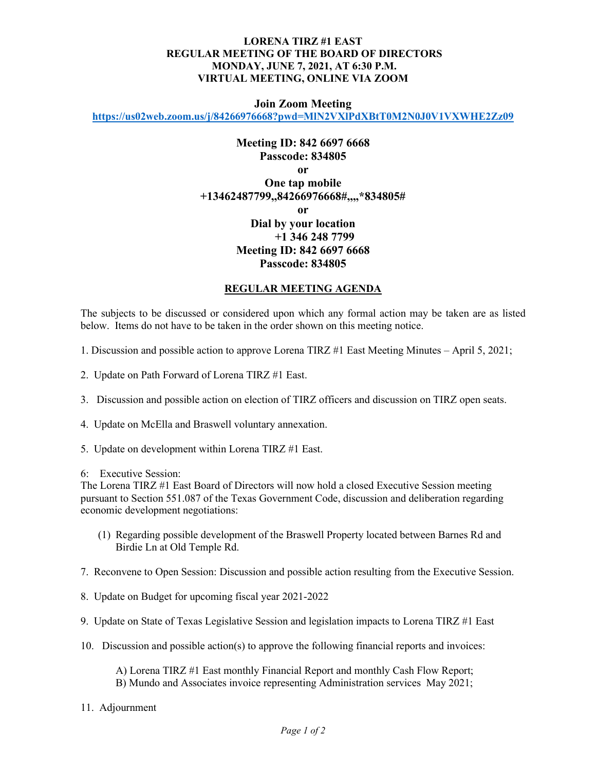## **LORENA TIRZ #1 EAST REGULAR MEETING OF THE BOARD OF DIRECTORS MONDAY, JUNE 7, 2021, AT 6:30 P.M. VIRTUAL MEETING, ONLINE VIA ZOOM**

## **Join Zoom Meeting**

**<https://us02web.zoom.us/j/84266976668?pwd=MlN2VXlPdXBtT0M2N0J0V1VXWHE2Zz09>**

## **Meeting ID: 842 6697 6668 Passcode: 834805 or One tap mobile +13462487799,,84266976668#,,,,\*834805# or Dial by your location +1 346 248 7799 Meeting ID: 842 6697 6668 Passcode: 834805**

## **REGULAR MEETING AGENDA**

The subjects to be discussed or considered upon which any formal action may be taken are as listed below. Items do not have to be taken in the order shown on this meeting notice.

- 1. Discussion and possible action to approve Lorena TIRZ #1 East Meeting Minutes April 5, 2021;
- 2. Update on Path Forward of Lorena TIRZ #1 East.
- 3. Discussion and possible action on election of TIRZ officers and discussion on TIRZ open seats.
- 4. Update on McElla and Braswell voluntary annexation.
- 5. Update on development within Lorena TIRZ #1 East.
- 6: Executive Session:

The Lorena TIRZ #1 East Board of Directors will now hold a closed Executive Session meeting pursuant to Section 551.087 of the Texas Government Code, discussion and deliberation regarding economic development negotiations:

- (1) Regarding possible development of the Braswell Property located between Barnes Rd and Birdie Ln at Old Temple Rd.
- 7. Reconvene to Open Session: Discussion and possible action resulting from the Executive Session.
- 8. Update on Budget for upcoming fiscal year 2021-2022
- 9. Update on State of Texas Legislative Session and legislation impacts to Lorena TIRZ #1 East
- 10. Discussion and possible action(s) to approve the following financial reports and invoices:

A) Lorena TIRZ #1 East monthly Financial Report and monthly Cash Flow Report; B) Mundo and Associates invoice representing Administration services May 2021;

11. Adjournment